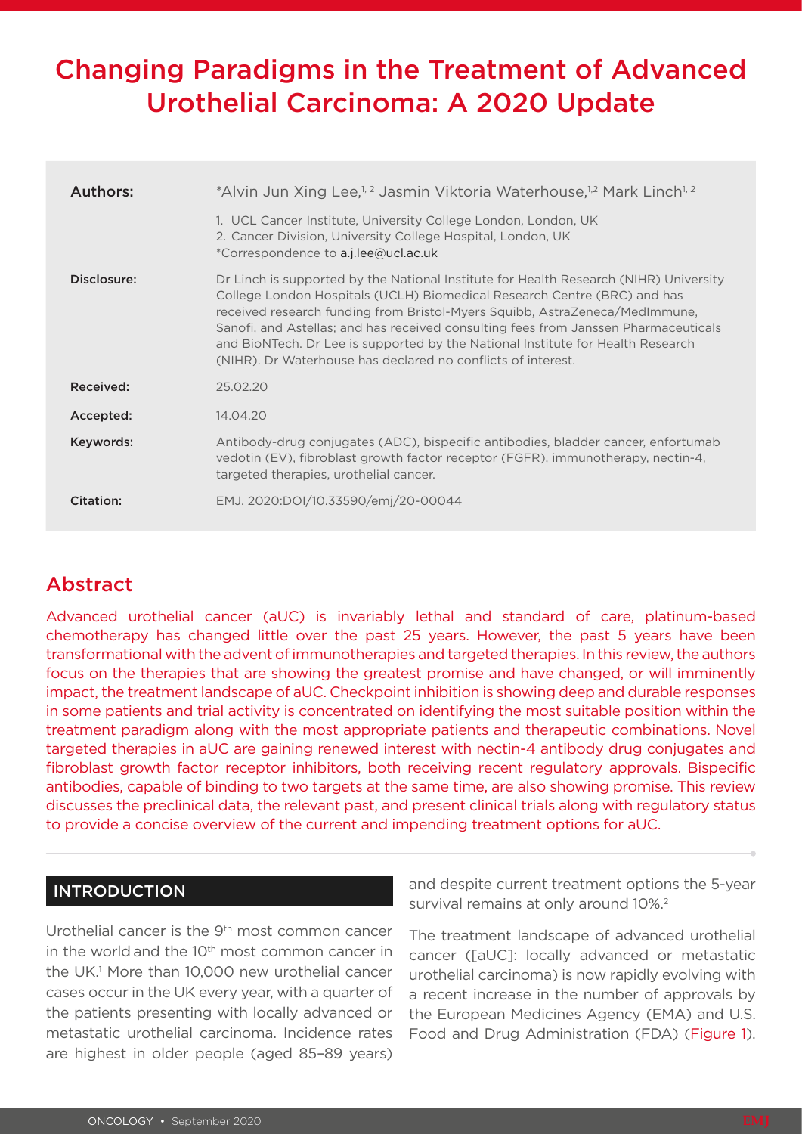# Changing Paradigms in the Treatment of Advanced Urothelial Carcinoma: A 2020 Update

| Authors:    | *Alvin Jun Xing Lee, <sup>1,2</sup> Jasmin Viktoria Waterhouse, <sup>12</sup> Mark Linch <sup>1,2</sup>                                                                                                                                                                                                                                                                                                                                                                                    |
|-------------|--------------------------------------------------------------------------------------------------------------------------------------------------------------------------------------------------------------------------------------------------------------------------------------------------------------------------------------------------------------------------------------------------------------------------------------------------------------------------------------------|
|             | 1. UCL Cancer Institute, University College London, London, UK<br>2. Cancer Division, University College Hospital, London, UK<br>*Correspondence to a.j.lee@ucl.ac.uk                                                                                                                                                                                                                                                                                                                      |
| Disclosure: | Dr Linch is supported by the National Institute for Health Research (NIHR) University<br>College London Hospitals (UCLH) Biomedical Research Centre (BRC) and has<br>received research funding from Bristol-Myers Squibb, AstraZeneca/MedImmune,<br>Sanofi, and Astellas; and has received consulting fees from Janssen Pharmaceuticals<br>and BioNTech. Dr Lee is supported by the National Institute for Health Research<br>(NIHR). Dr Waterhouse has declared no conflicts of interest. |
| Received:   | 25.02.20                                                                                                                                                                                                                                                                                                                                                                                                                                                                                   |
| Accepted:   | 14.04.20                                                                                                                                                                                                                                                                                                                                                                                                                                                                                   |
| Keywords:   | Antibody-drug conjugates (ADC), bispecific antibodies, bladder cancer, enfortumab<br>vedotin (EV), fibroblast growth factor receptor (FGFR), immunotherapy, nectin-4,<br>targeted therapies, urothelial cancer.                                                                                                                                                                                                                                                                            |
| Citation:   | EMJ. 2020:DOI/10.33590/emj/20-00044                                                                                                                                                                                                                                                                                                                                                                                                                                                        |

# Abstract

Advanced urothelial cancer (aUC) is invariably lethal and standard of care, platinum-based chemotherapy has changed little over the past 25 years. However, the past 5 years have been transformational with the advent of immunotherapies and targeted therapies. In this review, the authors focus on the therapies that are showing the greatest promise and have changed, or will imminently impact, the treatment landscape of aUC. Checkpoint inhibition is showing deep and durable responses in some patients and trial activity is concentrated on identifying the most suitable position within the treatment paradigm along with the most appropriate patients and therapeutic combinations. Novel targeted therapies in aUC are gaining renewed interest with nectin-4 antibody drug conjugates and fibroblast growth factor receptor inhibitors, both receiving recent regulatory approvals. Bispecific antibodies, capable of binding to two targets at the same time, are also showing promise. This review discusses the preclinical data, the relevant past, and present clinical trials along with regulatory status to provide a concise overview of the current and impending treatment options for aUC.

#### INTRODUCTION

Urothelial cancer is the 9th most common cancer in the world and the 10<sup>th</sup> most common cancer in the UK.<sup>1</sup> More than 10,000 new urothelial cancer cases occur in the UK every year, with a quarter of the patients presenting with locally advanced or metastatic urothelial carcinoma. Incidence rates are highest in older people (aged 85–89 years)

and despite current treatment options the 5-year survival remains at only around 10%.<sup>2</sup>

The treatment landscape of advanced urothelial cancer ([aUC]: locally advanced or metastatic urothelial carcinoma) is now rapidly evolving with a recent increase in the number of approvals by the European Medicines Agency (EMA) and U.S. Food and Drug Administration (FDA) (Figure 1).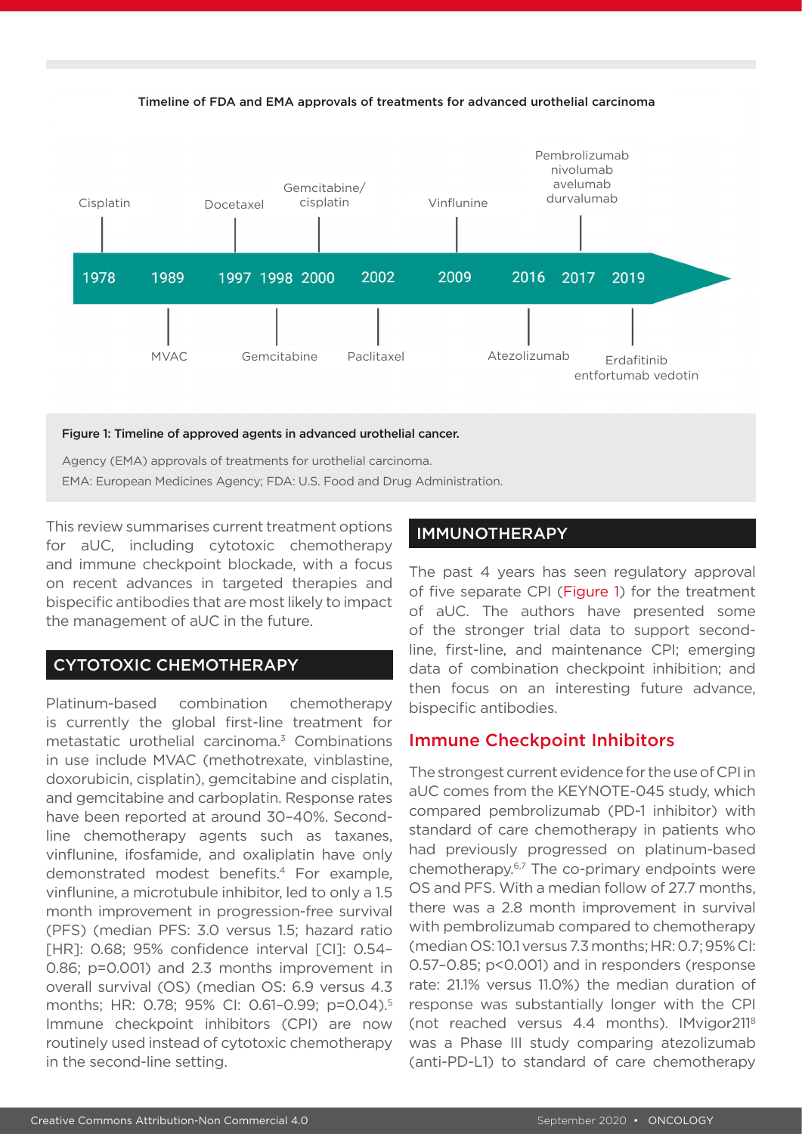

#### Timeline of FDA and EMA approvals of treatments for advanced urothelial carcinoma

Figure 1: Timeline of approved agents in advanced urothelial cancer.

Agency (EMA) approvals of treatments for urothelial carcinoma. EMA: European Medicines Agency; FDA: U.S. Food and Drug Administration.

This review summarises current treatment options for aUC, including cytotoxic chemotherapy and immune checkpoint blockade, with a focus on recent advances in targeted therapies and bispecific antibodies that are most likely to impact the management of aUC in the future.

# CYTOTOXIC CHEMOTHERAPY

Platinum-based combination chemotherapy is currently the global first-line treatment for metastatic urothelial carcinoma.3 Combinations in use include MVAC (methotrexate, vinblastine, doxorubicin, cisplatin), gemcitabine and cisplatin, and gemcitabine and carboplatin. Response rates have been reported at around 30–40%. Secondline chemotherapy agents such as taxanes, vinflunine, ifosfamide, and oxaliplatin have only demonstrated modest benefits.4 For example, vinflunine, a microtubule inhibitor, led to only a 1.5 month improvement in progression-free survival (PFS) (median PFS: 3.0 versus 1.5; hazard ratio [HR]: 0.68; 95% confidence interval [CI]: 0.54– 0.86; p=0.001) and 2.3 months improvement in overall survival (OS) (median OS: 6.9 versus 4.3 months; HR: 0.78; 95% CI: 0.61–0.99; p=0.04).5 Immune checkpoint inhibitors (CPI) are now routinely used instead of cytotoxic chemotherapy in the second-line setting.

## IMMUNOTHERAPY

The past 4 years has seen regulatory approval of five separate CPI (Figure 1) for the treatment of aUC. The authors have presented some of the stronger trial data to support secondline, first-line, and maintenance CPI; emerging data of combination checkpoint inhibition; and then focus on an interesting future advance, bispecific antibodies.

## Immune Checkpoint Inhibitors

The strongest current evidence for the use of CPI in aUC comes from the KEYNOTE-045 study, which compared pembrolizumab (PD-1 inhibitor) with standard of care chemotherapy in patients who had previously progressed on platinum-based chemotherapy.6,7 The co-primary endpoints were OS and PFS. With a median follow of 27.7 months, there was a 2.8 month improvement in survival with pembrolizumab compared to chemotherapy (median OS: 10.1 versus 7.3 months; HR: 0.7; 95% CI: 0.57–0.85; p<0.001) and in responders (response rate: 21.1% versus 11.0%) the median duration of response was substantially longer with the CPI (not reached versus 4.4 months). IMvigor2118 was a Phase III study comparing atezolizumab (anti-PD-L1) to standard of care chemotherapy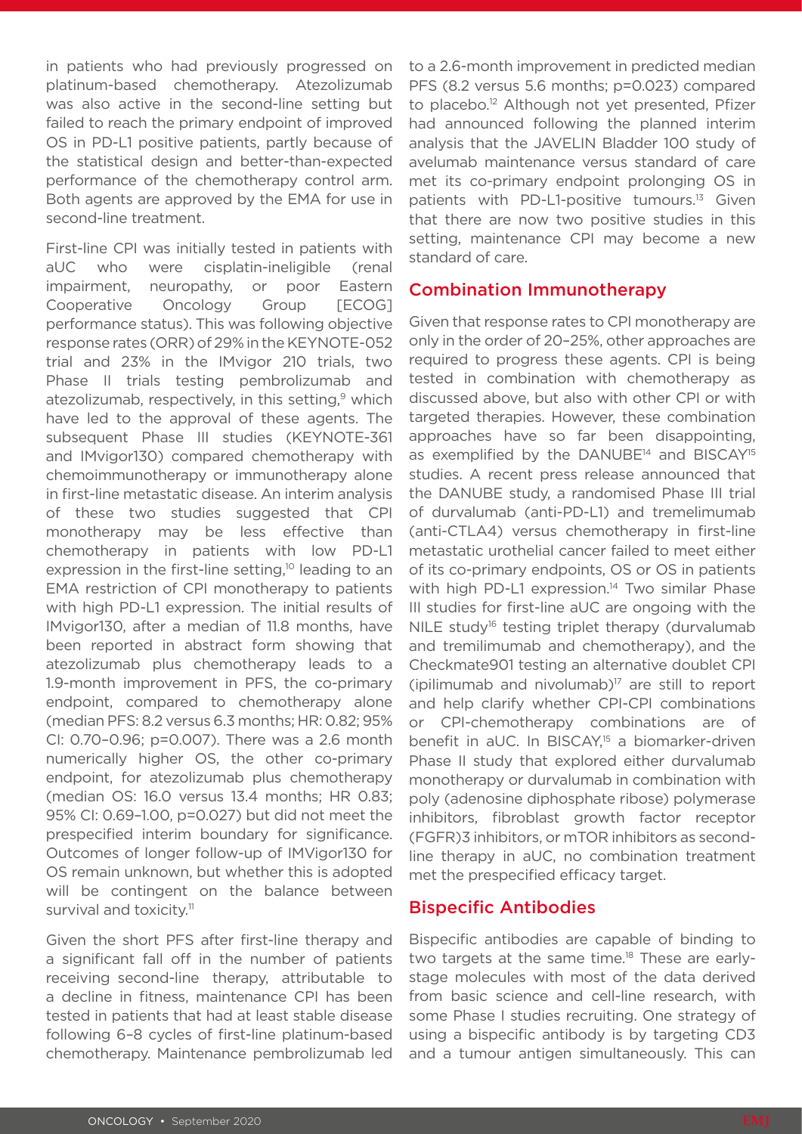in patients who had previously progressed on platinum-based chemotherapy. Atezolizumab was also active in the second-line setting but failed to reach the primary endpoint of improved OS in PD-L1 positive patients, partly because of the statistical design and better-than-expected performance of the chemotherapy control arm. Both agents are approved by the EMA for use in second-line treatment.

First-line CPI was initially tested in patients with aUC who were cisplatin-ineligible (renal impairment, neuropathy, or poor Eastern Cooperative Oncology Group [ECOG] performance status). This was following objective response rates (ORR) of 29% in the KEYNOTE-052 trial and 23% in the IMvigor 210 trials, two Phase II trials testing pembrolizumab and atezolizumab, respectively, in this setting, $9$  which have led to the approval of these agents. The subsequent Phase III studies (KEYNOTE-361 and IMvigor130) compared chemotherapy with chemoimmunotherapy or immunotherapy alone in first-line metastatic disease. An interim analysis of these two studies suggested that CPI monotherapy may be less effective than chemotherapy in patients with low PD-L1 expression in the first-line setting,<sup>10</sup> leading to an EMA restriction of CPI monotherapy to patients with high PD-L1 expression. The initial results of IMvigor130, after a median of 11.8 months, have been reported in abstract form showing that atezolizumab plus chemotherapy leads to a 1.9-month improvement in PFS, the co-primary endpoint, compared to chemotherapy alone (median PFS: 8.2 versus 6.3 months; HR: 0.82; 95% CI: 0.70–0.96; p=0.007). There was a 2.6 month numerically higher OS, the other co-primary endpoint, for atezolizumab plus chemotherapy (median OS: 16.0 versus 13.4 months; HR 0.83; 95% CI: 0.69–1.00, p=0.027) but did not meet the prespecified interim boundary for significance. Outcomes of longer follow-up of IMVigor130 for OS remain unknown, but whether this is adopted will be contingent on the balance between survival and toxicity.<sup>11</sup>

Given the short PFS after first-line therapy and a significant fall off in the number of patients receiving second-line therapy, attributable to a decline in fitness, maintenance CPI has been tested in patients that had at least stable disease following 6–8 cycles of first-line platinum-based chemotherapy. Maintenance pembrolizumab led

to a 2.6-month improvement in predicted median PFS (8.2 versus 5.6 months; p=0.023) compared to placebo.<sup>12</sup> Although not yet presented, Pfizer had announced following the planned interim analysis that the JAVELIN Bladder 100 study of avelumab maintenance versus standard of care met its co-primary endpoint prolonging OS in patients with PD-L1-positive tumours.13 Given that there are now two positive studies in this setting, maintenance CPI may become a new standard of care.

#### Combination Immunotherapy

Given that response rates to CPI monotherapy are only in the order of 20–25%, other approaches are required to progress these agents. CPI is being tested in combination with chemotherapy as discussed above, but also with other CPI or with targeted therapies. However, these combination approaches have so far been disappointing, as exemplified by the DANUBE<sup>14</sup> and BISCAY<sup>15</sup> studies. A recent press release announced that the DANUBE study, a randomised Phase III trial of durvalumab (anti-PD-L1) and tremelimumab (anti-CTLA4) versus chemotherapy in first-line metastatic urothelial cancer failed to meet either of its co-primary endpoints, OS or OS in patients with high PD-L1 expression.<sup>14</sup> Two similar Phase III studies for first-line aUC are ongoing with the NILE study<sup>16</sup> testing triplet therapy (durvalumab and tremilimumab and chemotherapy), and the Checkmate901 testing an alternative doublet CPI (ipilimumab and nivolumab) $17$  are still to report and help clarify whether CPI-CPI combinations or CPI-chemotherapy combinations are of benefit in aUC. In BISCAY,<sup>15</sup> a biomarker-driven Phase II study that explored either durvalumab monotherapy or durvalumab in combination with poly (adenosine diphosphate ribose) polymerase inhibitors, fibroblast growth factor receptor (FGFR)3 inhibitors, or mTOR inhibitors as secondline therapy in aUC, no combination treatment met the prespecified efficacy target.

#### Bispecific Antibodies

Bispecific antibodies are capable of binding to two targets at the same time.<sup>18</sup> These are earlystage molecules with most of the data derived from basic science and cell-line research, with some Phase I studies recruiting. One strategy of using a bispecific antibody is by targeting CD3 and a tumour antigen simultaneously. This can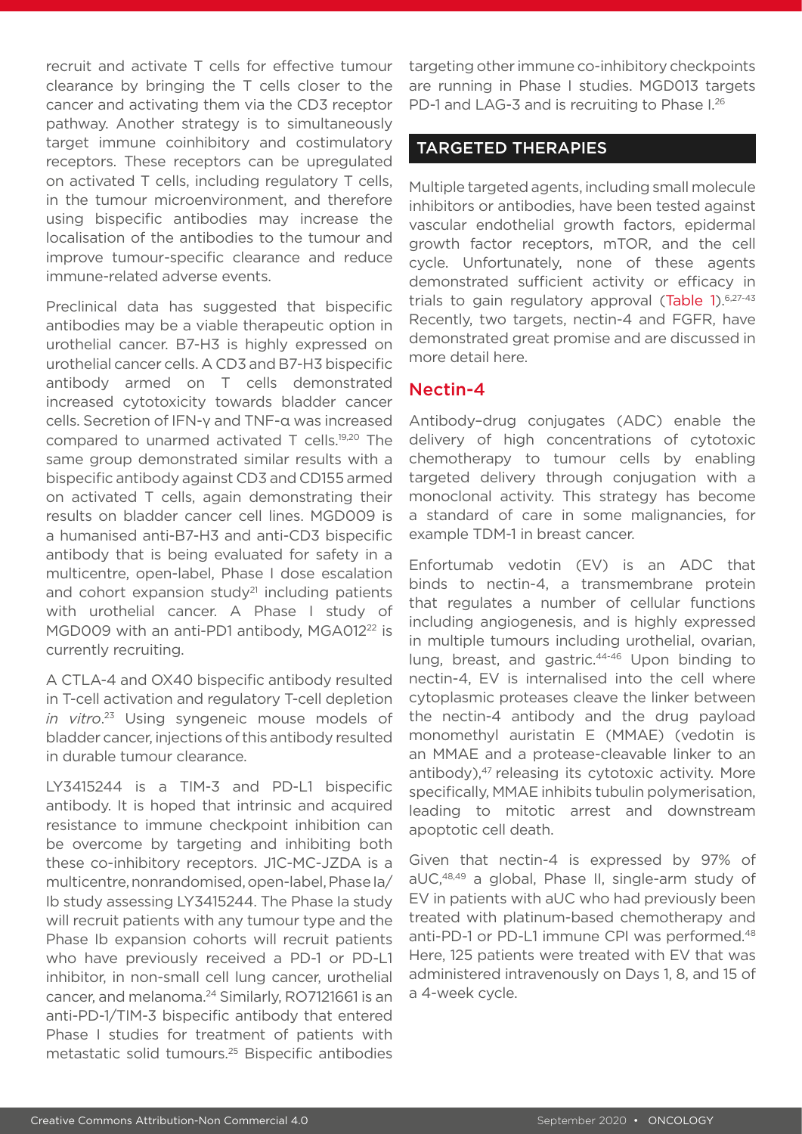recruit and activate T cells for effective tumour clearance by bringing the T cells closer to the cancer and activating them via the CD3 receptor pathway. Another strategy is to simultaneously target immune coinhibitory and costimulatory receptors. These receptors can be upregulated on activated T cells, including regulatory T cells, in the tumour microenvironment, and therefore using bispecific antibodies may increase the localisation of the antibodies to the tumour and improve tumour-specific clearance and reduce immune-related adverse events.

Preclinical data has suggested that bispecific antibodies may be a viable therapeutic option in urothelial cancer. B7-H3 is highly expressed on urothelial cancer cells. A CD3 and B7-H3 bispecific antibody armed on T cells demonstrated increased cytotoxicity towards bladder cancer cells. Secretion of IFN-γ and TNF-α was increased compared to unarmed activated T cells.<sup>19,20</sup> The same group demonstrated similar results with a bispecific antibody against CD3 and CD155 armed on activated T cells, again demonstrating their results on bladder cancer cell lines. MGD009 is a humanised anti-B7-H3 and anti-CD3 bispecific antibody that is being evaluated for safety in a multicentre, open-label, Phase I dose escalation and cohort expansion study $21$  including patients with urothelial cancer. A Phase I study of MGD009 with an anti-PD1 antibody, MGA012<sup>22</sup> is currently recruiting.

A CTLA-4 and OX40 bispecific antibody resulted in T-cell activation and regulatory T-cell depletion *in vitro*. 23 Using syngeneic mouse models of bladder cancer, injections of this antibody resulted in durable tumour clearance.

LY3415244 is a TIM-3 and PD-L1 bispecific antibody. It is hoped that intrinsic and acquired resistance to immune checkpoint inhibition can be overcome by targeting and inhibiting both these co-inhibitory receptors. J1C-MC-JZDA is a multicentre, nonrandomised, open-label, Phase Ia/ Ib study assessing LY3415244. The Phase Ia study will recruit patients with any tumour type and the Phase Ib expansion cohorts will recruit patients who have previously received a PD-1 or PD-L1 inhibitor, in non-small cell lung cancer, urothelial cancer, and melanoma.24 Similarly, RO7121661 is an anti-PD-1/TIM-3 bispecific antibody that entered Phase I studies for treatment of patients with metastatic solid tumours.25 Bispecific antibodies

targeting other immune co-inhibitory checkpoints are running in Phase I studies. MGD013 targets PD-1 and LAG-3 and is recruiting to Phase I.<sup>26</sup>

#### TARGETED THERAPIES

Multiple targeted agents, including small molecule inhibitors or antibodies, have been tested against vascular endothelial growth factors, epidermal growth factor receptors, mTOR, and the cell cycle. Unfortunately, none of these agents demonstrated sufficient activity or efficacy in trials to gain regulatory approval (Table 1).6,27-43 Recently, two targets, nectin-4 and FGFR, have demonstrated great promise and are discussed in more detail here.

## Nectin-4

Antibody–drug conjugates (ADC) enable the delivery of high concentrations of cytotoxic chemotherapy to tumour cells by enabling targeted delivery through conjugation with a monoclonal activity. This strategy has become a standard of care in some malignancies, for example TDM-1 in breast cancer.

Enfortumab vedotin (EV) is an ADC that binds to nectin-4, a transmembrane protein that regulates a number of cellular functions including angiogenesis, and is highly expressed in multiple tumours including urothelial, ovarian, lung, breast, and gastric.<sup>44-46</sup> Upon binding to nectin-4, EV is internalised into the cell where cytoplasmic proteases cleave the linker between the nectin-4 antibody and the drug payload monomethyl auristatin E (MMAE) (vedotin is an MMAE and a protease-cleavable linker to an antibody),<sup>47</sup> releasing its cytotoxic activity. More specifically, MMAE inhibits tubulin polymerisation, leading to mitotic arrest and downstream apoptotic cell death.

Given that nectin-4 is expressed by 97% of aUC,48,49 a global, Phase II, single-arm study of EV in patients with aUC who had previously been treated with platinum-based chemotherapy and anti-PD-1 or PD-L1 immune CPI was performed.<sup>48</sup> Here, 125 patients were treated with EV that was administered intravenously on Days 1, 8, and 15 of a 4-week cycle.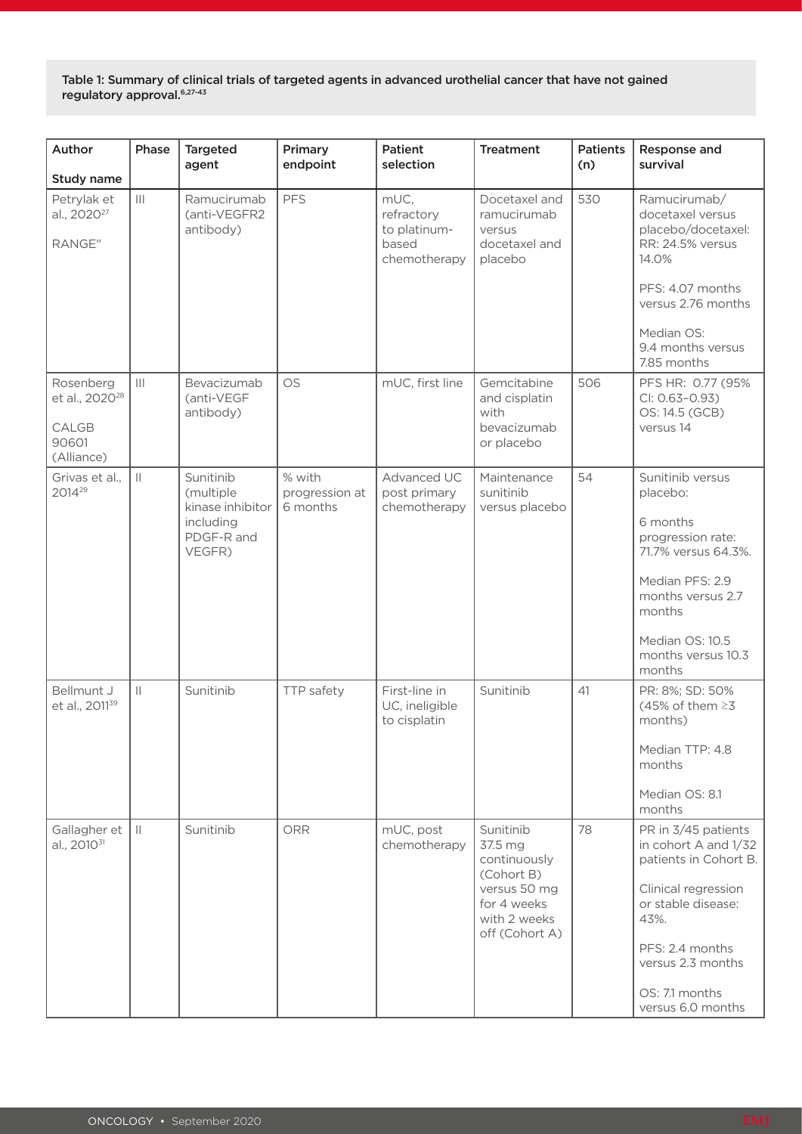Table 1: Summary of clinical trials of targeted agents in advanced urothelial cancer that have not gained regulatory approval.<sup>6,27-43</sup>

| Author<br>Study name                                                    | Phase             | <b>Targeted</b><br>agent                                                        | Primary<br>endpoint                  | Patient<br>selection                                        | <b>Treatment</b>                                                                                                    | <b>Patients</b><br>(n) | Response and<br>survival                                                                                                                                                                                 |
|-------------------------------------------------------------------------|-------------------|---------------------------------------------------------------------------------|--------------------------------------|-------------------------------------------------------------|---------------------------------------------------------------------------------------------------------------------|------------------------|----------------------------------------------------------------------------------------------------------------------------------------------------------------------------------------------------------|
| Petrylak et<br>al., 2020 <sup>27</sup><br>RANGE"                        | $\vert\vert\vert$ | Ramucirumab<br>(anti-VEGFR2<br>antibody)                                        | PFS                                  | mUC,<br>refractory<br>to platinum-<br>based<br>chemotherapy | Docetaxel and<br>ramucirumab<br>versus<br>docetaxel and<br>placebo                                                  | 530                    | Ramucirumab/<br>docetaxel versus<br>placebo/docetaxel:<br>RR: 24.5% versus<br>14.0%<br>PFS: 4.07 months<br>versus 2.76 months<br>Median OS:<br>9.4 months versus<br>7.85 months                          |
| Rosenberg<br>et al., 2020 <sup>28</sup><br>CALGB<br>90601<br>(Alliance) | $\vert\vert\vert$ | Bevacizumab<br>(anti-VEGF<br>antibody)                                          | <b>OS</b>                            | mUC, first line                                             | Gemcitabine<br>and cisplatin<br>with<br>bevacizumab<br>or placebo                                                   | 506                    | PFS HR: 0.77 (95%<br>$Cl: 0.63 - 0.93$<br>OS: 14.5 (GCB)<br>versus 14                                                                                                                                    |
| Grivas et al.,<br>201429                                                | $\mathbb{H}$      | Sunitinib<br>(multiple<br>kinase inhibitor<br>including<br>PDGF-R and<br>VEGFR) | % with<br>progression at<br>6 months | Advanced UC<br>post primary<br>chemotherapy                 | Maintenance<br>sunitinib<br>versus placebo                                                                          | 54                     | Sunitinib versus<br>placebo:<br>6 months<br>progression rate:<br>71.7% versus 64.3%.<br>Median PFS: 2.9<br>months versus 2.7<br>months<br>Median OS: 10.5<br>months versus 10.3<br>months                |
| Bellmunt J<br>et al., 2011 <sup>39</sup>                                | $\vert\vert$      | Sunitinib                                                                       | TTP safety                           | First-line in<br>UC, ineligible<br>to cisplatin             | Sunitinib                                                                                                           | 41                     | PR: 8%; SD: 50%<br>(45% of them $\geq$ 3<br>months)<br>Median TTP: 4.8<br>months<br>Median OS: 8.1<br>months                                                                                             |
| Gallagher et<br>al., 2010 <sup>31</sup>                                 | Lш                | Sunitinib                                                                       | ORR                                  | mUC, post<br>chemotherapy                                   | Sunitinib<br>37.5 mg<br>continuously<br>(Cohort B)<br>versus 50 mg<br>for 4 weeks<br>with 2 weeks<br>off (Cohort A) | 78                     | PR in 3/45 patients<br>in cohort A and 1/32<br>patients in Cohort B.<br>Clinical regression<br>or stable disease:<br>43%.<br>PFS: 2.4 months<br>versus 2.3 months<br>OS: 7.1 months<br>versus 6.0 months |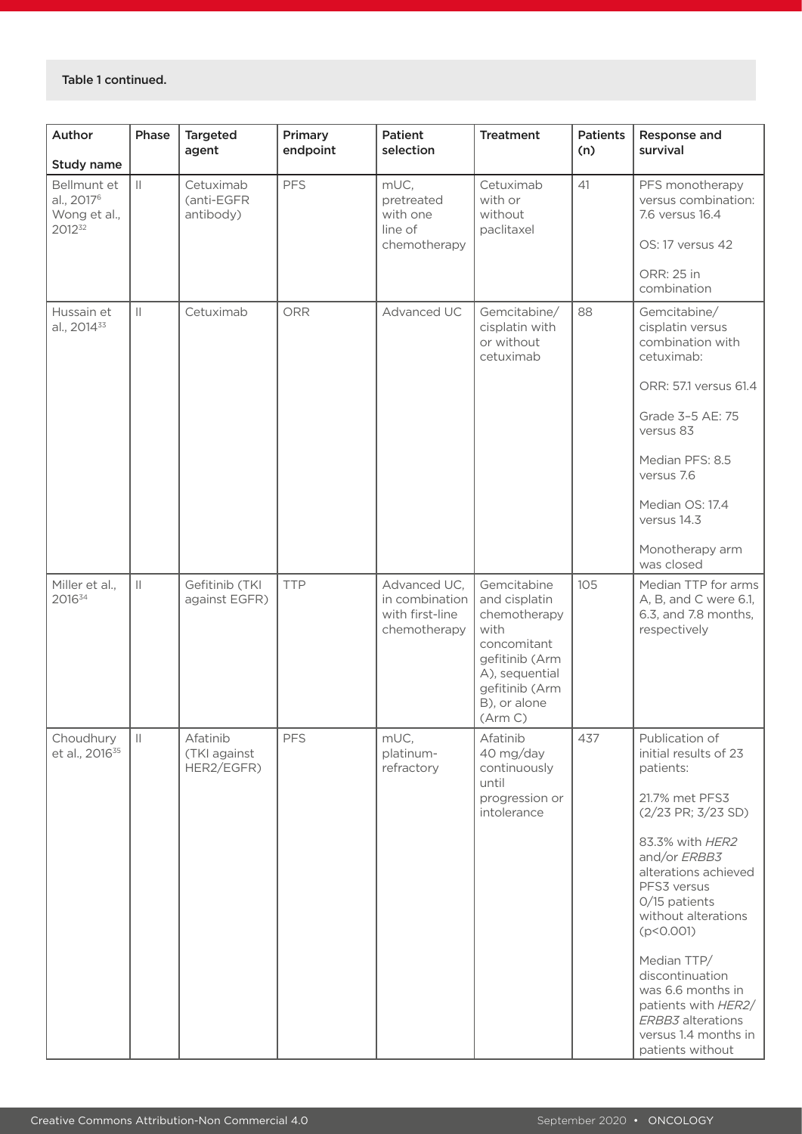#### Table 1 continued.

| Author<br>Study name                                            | Phase        | <b>Targeted</b><br>agent               | Primary<br>endpoint | Patient<br>selection                                              | <b>Treatment</b>                                                                                                                                     | <b>Patients</b><br>(n) | Response and<br>survival                                                                                                                                                                                                                                                                                                                                                     |
|-----------------------------------------------------------------|--------------|----------------------------------------|---------------------|-------------------------------------------------------------------|------------------------------------------------------------------------------------------------------------------------------------------------------|------------------------|------------------------------------------------------------------------------------------------------------------------------------------------------------------------------------------------------------------------------------------------------------------------------------------------------------------------------------------------------------------------------|
| Bellmunt et<br>al., 2017 <sup>6</sup><br>Wong et al.,<br>201232 | $\vert\vert$ | Cetuximab<br>(anti-EGFR<br>antibody)   | PFS                 | mUC,<br>pretreated<br>with one<br>line of<br>chemotherapy         | Cetuximab<br>with or<br>without<br>paclitaxel                                                                                                        | 41                     | PFS monotherapy<br>versus combination:<br>7.6 versus 16.4<br>OS: 17 versus 42<br>ORR: 25 in<br>combination                                                                                                                                                                                                                                                                   |
| Hussain et<br>al., 2014 <sup>33</sup>                           | $\vert\vert$ | Cetuximab                              | ORR                 | Advanced UC                                                       | Gemcitabine/<br>cisplatin with<br>or without<br>cetuximab                                                                                            | 88                     | Gemcitabine/<br>cisplatin versus<br>combination with<br>cetuximab:<br>ORR: 57.1 versus 61.4<br>Grade 3-5 AE: 75<br>versus 83<br>Median PFS: 8.5<br>versus 7.6<br>Median OS: 17.4<br>versus 14.3<br>Monotherapy arm<br>was closed                                                                                                                                             |
| Miller et al.,<br>201634                                        | $\vert\vert$ | Gefitinib (TKI<br>against EGFR)        | <b>TTP</b>          | Advanced UC,<br>in combination<br>with first-line<br>chemotherapy | Gemcitabine<br>and cisplatin<br>chemotherapy<br>with<br>concomitant<br>gefitinib (Arm<br>A), sequential<br>gefitinib (Arm<br>B), or alone<br>(Arm C) | 105                    | Median TTP for arms<br>A, B, and C were 6.1,<br>6.3, and 7.8 months,<br>respectively                                                                                                                                                                                                                                                                                         |
| Choudhury<br>et al., 2016 <sup>35</sup>                         | $\mathbb{H}$ | Afatinib<br>(TKI against<br>HER2/EGFR) | PFS                 | mUC,<br>platinum-<br>refractory                                   | Afatinib<br>40 mg/day<br>continuously<br>until<br>progression or<br>intolerance                                                                      | 437                    | Publication of<br>initial results of 23<br>patients:<br>21.7% met PFS3<br>(2/23 PR; 3/23 SD)<br>83.3% with HER2<br>and/or ERBB3<br>alterations achieved<br>PFS3 versus<br>0/15 patients<br>without alterations<br>(p < 0.001)<br>Median TTP/<br>discontinuation<br>was 6.6 months in<br>patients with HER2/<br>ERBB3 alterations<br>versus 1.4 months in<br>patients without |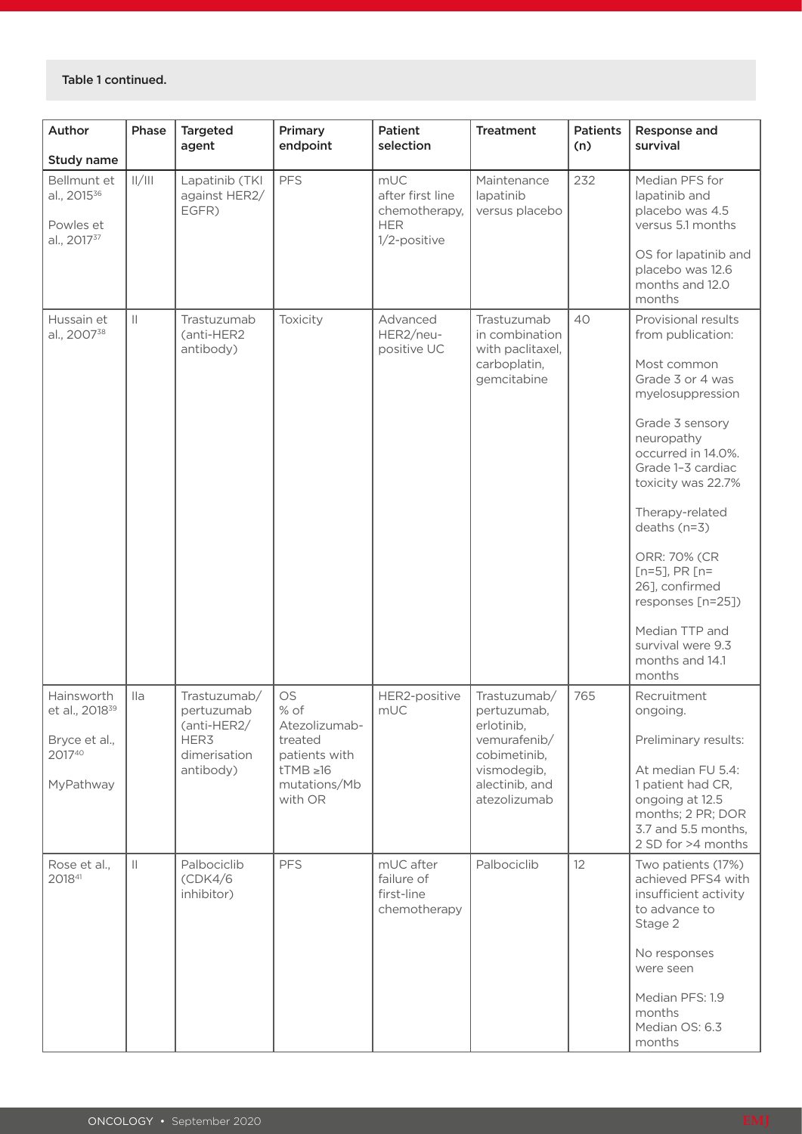#### Table 1 continued.

| Author<br>Study name                                                             | Phase          | <b>Targeted</b><br>agent                                                       | Primary<br>endpoint                                                                                 | Patient<br>selection                                                   | <b>Treatment</b>                                                                                                           | <b>Patients</b><br>(n) | Response and<br>survival                                                                                                                                                                                                                                                                                                                                                                |
|----------------------------------------------------------------------------------|----------------|--------------------------------------------------------------------------------|-----------------------------------------------------------------------------------------------------|------------------------------------------------------------------------|----------------------------------------------------------------------------------------------------------------------------|------------------------|-----------------------------------------------------------------------------------------------------------------------------------------------------------------------------------------------------------------------------------------------------------------------------------------------------------------------------------------------------------------------------------------|
| Bellmunt et<br>al., 2015 <sup>36</sup><br>Powles et<br>al., 2017 <sup>37</sup>   | /              | Lapatinib (TKI<br>against HER2/<br>EGFR)                                       | <b>PFS</b>                                                                                          | mUC<br>after first line<br>chemotherapy,<br><b>HER</b><br>1/2-positive | Maintenance<br>lapatinib<br>versus placebo                                                                                 | 232                    | Median PFS for<br>lapatinib and<br>placebo was 4.5<br>versus 5.1 months<br>OS for lapatinib and<br>placebo was 12.6<br>months and 12.0<br>months                                                                                                                                                                                                                                        |
| Hussain et<br>al., 2007 <sup>38</sup>                                            | $\vert\vert$   | Trastuzumab<br>(anti-HER2<br>antibody)                                         | Toxicity                                                                                            | Advanced<br>HER2/neu-<br>positive UC                                   | Trastuzumab<br>in combination<br>with paclitaxel,<br>carboplatin,<br>gemcitabine                                           | 40                     | Provisional results<br>from publication:<br>Most common<br>Grade 3 or 4 was<br>myelosuppression<br>Grade 3 sensory<br>neuropathy<br>occurred in 14.0%.<br>Grade 1-3 cardiac<br>toxicity was 22.7%<br>Therapy-related<br>$deaths (n=3)$<br>ORR: 70% (CR<br>$[n=5]$ , PR $[n=$<br>26], confirmed<br>responses [n=25])<br>Median TTP and<br>survival were 9.3<br>months and 14.1<br>months |
| Hainsworth<br>et al., 2018 <sup>39</sup><br>Bryce et al.,<br>201740<br>MyPathway | $\mathsf{IIa}$ | Trastuzumab/<br>pertuzumab<br>(anti-HER2/<br>HER3<br>dimerisation<br>antibody) | OS<br>% of<br>Atezolizumab-<br>treated<br>patients with<br>$tTMB \ge 16$<br>mutations/Mb<br>with OR | HER2-positive<br>mUC                                                   | Trastuzumab/<br>pertuzumab,<br>erlotinib,<br>vemurafenib/<br>cobimetinib,<br>vismodegib,<br>alectinib, and<br>atezolizumab | 765                    | Recruitment<br>ongoing.<br>Preliminary results:<br>At median FU 5.4:<br>1 patient had CR,<br>ongoing at 12.5<br>months; 2 PR; DOR<br>3.7 and 5.5 months.<br>2 SD for >4 months                                                                                                                                                                                                          |
| Rose et al.,<br>201841                                                           | $\vert\vert$   | Palbociclib<br>(CDK4/6)<br>inhibitor)                                          | <b>PFS</b>                                                                                          | mUC after<br>failure of<br>first-line<br>chemotherapy                  | Palbociclib                                                                                                                | 12 <sup>°</sup>        | Two patients (17%)<br>achieved PFS4 with<br>insufficient activity<br>to advance to<br>Stage 2<br>No responses<br>were seen<br>Median PFS: 1.9<br>months<br>Median OS: 6.3<br>months                                                                                                                                                                                                     |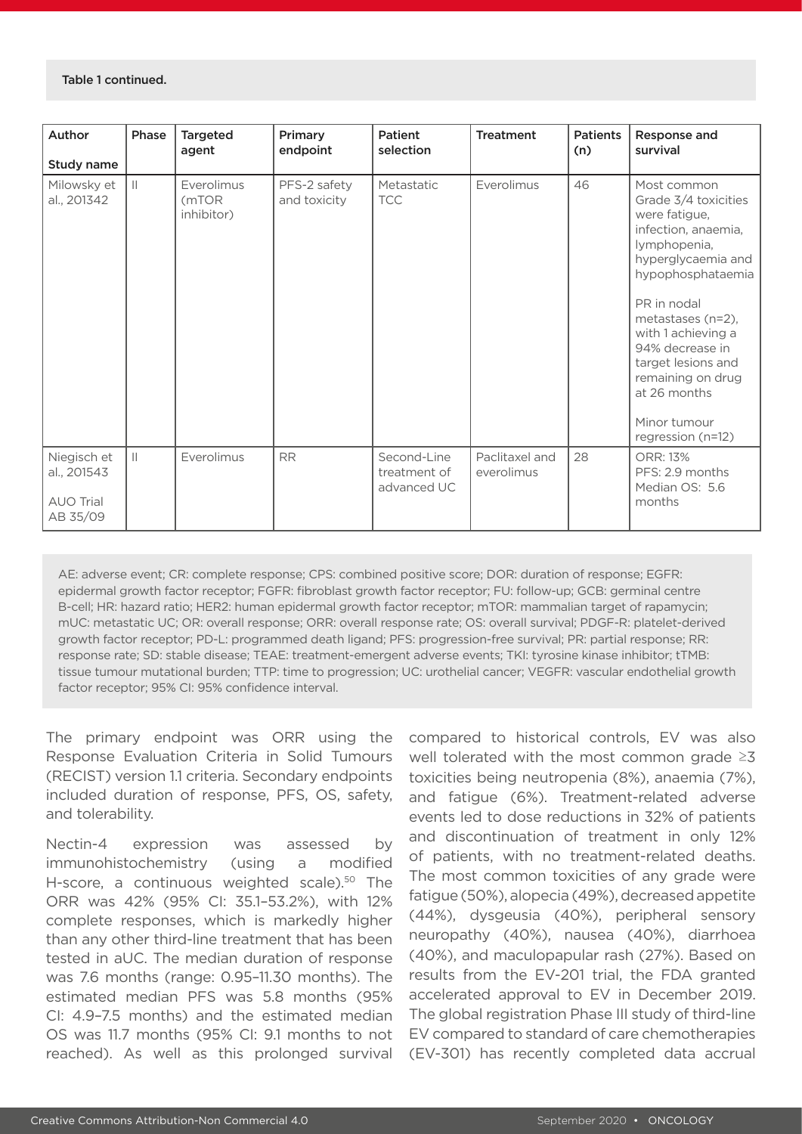| Author                                                     | Phase         | <b>Targeted</b><br>agent          | Primary<br>endpoint          | <b>Patient</b><br>selection                | <b>Treatment</b>             | <b>Patients</b><br>(n) | Response and<br>survival                                                                                                                                                                                                                                                                                            |
|------------------------------------------------------------|---------------|-----------------------------------|------------------------------|--------------------------------------------|------------------------------|------------------------|---------------------------------------------------------------------------------------------------------------------------------------------------------------------------------------------------------------------------------------------------------------------------------------------------------------------|
| Study name                                                 |               |                                   |                              |                                            |                              |                        |                                                                                                                                                                                                                                                                                                                     |
| Milowsky et<br>al., 201342                                 | $\mathbf{  }$ | Everolimus<br>(mTOR<br>inhibitor) | PFS-2 safety<br>and toxicity | Metastatic<br><b>TCC</b>                   | Everolimus                   | 46                     | Most common<br>Grade 3/4 toxicities<br>were fatigue,<br>infection, anaemia,<br>lymphopenia,<br>hyperglycaemia and<br>hypophosphataemia<br>PR in nodal<br>metastases (n=2),<br>with 1 achieving a<br>94% decrease in<br>target lesions and<br>remaining on drug<br>at 26 months<br>Minor tumour<br>regression (n=12) |
| Niegisch et<br>al., 201543<br><b>AUO Trial</b><br>AB 35/09 | $\mathbf{  }$ | Everolimus                        | <b>RR</b>                    | Second-Line<br>treatment of<br>advanced UC | Paclitaxel and<br>everolimus | 28                     | ORR: 13%<br>PFS: 2.9 months<br>Median OS: 5.6<br>months                                                                                                                                                                                                                                                             |

AE: adverse event; CR: complete response; CPS: combined positive score; DOR: duration of response; EGFR: epidermal growth factor receptor; FGFR: fibroblast growth factor receptor; FU: follow-up; GCB: germinal centre B-cell; HR: hazard ratio; HER2: human epidermal growth factor receptor; mTOR: mammalian target of rapamycin; mUC: metastatic UC; OR: overall response; ORR: overall response rate; OS: overall survival; PDGF-R: platelet-derived growth factor receptor; PD-L: programmed death ligand; PFS: progression-free survival; PR: partial response; RR: response rate; SD: stable disease; TEAE: treatment-emergent adverse events; TKI: tyrosine kinase inhibitor; tTMB: tissue tumour mutational burden; TTP: time to progression; UC: urothelial cancer; VEGFR: vascular endothelial growth factor receptor; 95% CI: 95% confidence interval.

The primary endpoint was ORR using the Response Evaluation Criteria in Solid Tumours (RECIST) version 1.1 criteria. Secondary endpoints included duration of response, PFS, OS, safety, and tolerability.

Nectin-4 expression was assessed by immunohistochemistry (using a modified H-score, a continuous weighted scale).<sup>50</sup> The ORR was 42% (95% CI: 35.1–53.2%), with 12% complete responses, which is markedly higher than any other third-line treatment that has been tested in aUC. The median duration of response was 7.6 months (range: 0.95–11.30 months). The estimated median PFS was 5.8 months (95% CI: 4.9–7.5 months) and the estimated median OS was 11.7 months (95% CI: 9.1 months to not reached). As well as this prolonged survival

compared to historical controls, EV was also well tolerated with the most common grade ≥3 toxicities being neutropenia (8%), anaemia (7%), and fatigue (6%). Treatment-related adverse events led to dose reductions in 32% of patients and discontinuation of treatment in only 12% of patients, with no treatment-related deaths. The most common toxicities of any grade were fatigue (50%), alopecia (49%), decreased appetite (44%), dysgeusia (40%), peripheral sensory neuropathy (40%), nausea (40%), diarrhoea (40%), and maculopapular rash (27%). Based on results from the EV-201 trial, the FDA granted accelerated approval to EV in December 2019. The global registration Phase III study of third-line EV compared to standard of care chemotherapies (EV-301) has recently completed data accrual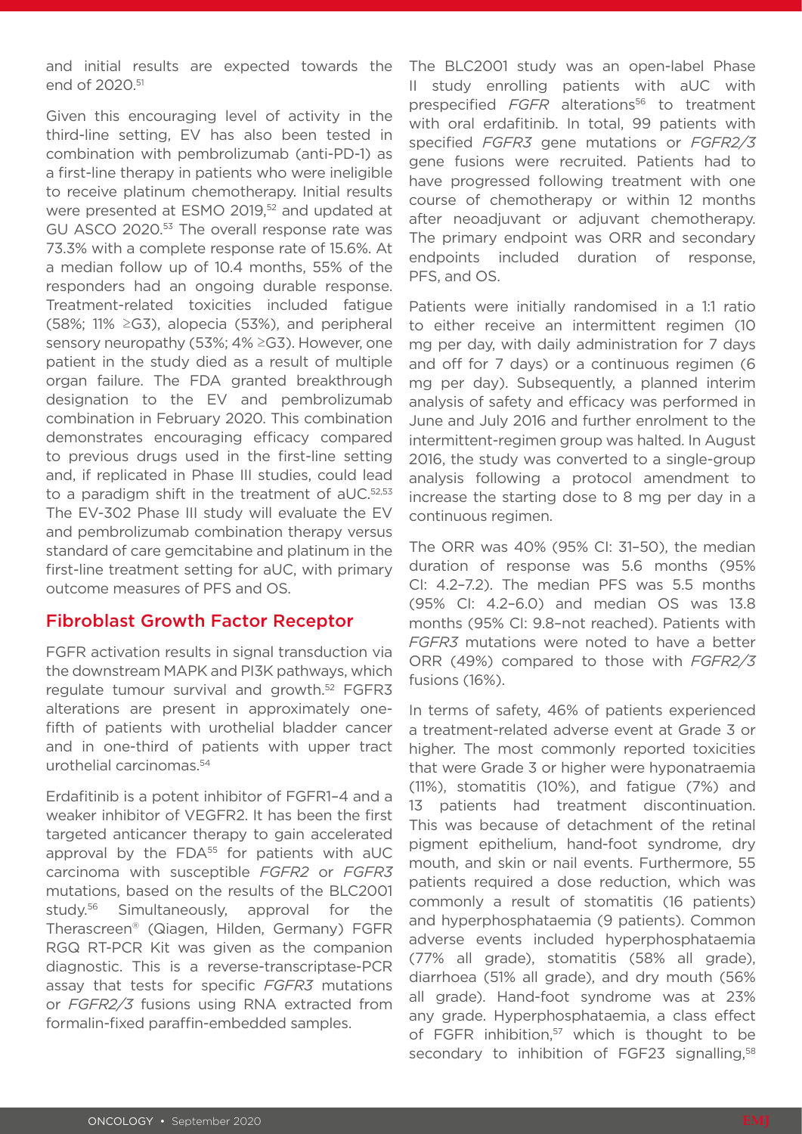and initial results are expected towards the end of 2020.51

Given this encouraging level of activity in the third-line setting, EV has also been tested in combination with pembrolizumab (anti-PD-1) as a first-line therapy in patients who were ineligible to receive platinum chemotherapy. Initial results were presented at ESMO 2019,<sup>52</sup> and updated at GU ASCO 2020.53 The overall response rate was 73.3% with a complete response rate of 15.6%. At a median follow up of 10.4 months, 55% of the responders had an ongoing durable response. Treatment-related toxicities included fatigue (58%; 11%  $\geq$ G3), alopecia (53%), and peripheral sensory neuropathy (53%; 4% ≥G3). However, one patient in the study died as a result of multiple organ failure. The FDA granted breakthrough designation to the EV and pembrolizumab combination in February 2020. This combination demonstrates encouraging efficacy compared to previous drugs used in the first-line setting and, if replicated in Phase III studies, could lead to a paradigm shift in the treatment of  $dUC$ .<sup>52,53</sup> The EV-302 Phase III study will evaluate the EV and pembrolizumab combination therapy versus standard of care gemcitabine and platinum in the first-line treatment setting for aUC, with primary outcome measures of PFS and OS.

#### Fibroblast Growth Factor Receptor

FGFR activation results in signal transduction via the downstream MAPK and PI3K pathways, which regulate tumour survival and growth.52 FGFR3 alterations are present in approximately onefifth of patients with urothelial bladder cancer and in one-third of patients with upper tract urothelial carcinomas.54

Erdafitinib is a potent inhibitor of FGFR1–4 and a weaker inhibitor of VEGFR2. It has been the first targeted anticancer therapy to gain accelerated approval by the FDA<sup>55</sup> for patients with aUC carcinoma with susceptible *FGFR2* or *FGFR3* mutations, based on the results of the BLC2001 study.<sup>56</sup> Simultaneously, approval for the Therascreen® (Qiagen, Hilden, Germany) FGFR RGQ RT-PCR Kit was given as the companion diagnostic. This is a reverse-transcriptase-PCR assay that tests for specific *FGFR3* mutations or *FGFR2/3* fusions using RNA extracted from formalin-fixed paraffin-embedded samples.

The BLC2001 study was an open-label Phase II study enrolling patients with aUC with prespecified FGFR alterations<sup>56</sup> to treatment with oral erdafitinib. In total, 99 patients with specified *FGFR3* gene mutations or *FGFR2/3* gene fusions were recruited. Patients had to have progressed following treatment with one course of chemotherapy or within 12 months after neoadjuvant or adjuvant chemotherapy. The primary endpoint was ORR and secondary endpoints included duration of response, PFS, and OS.

Patients were initially randomised in a 1:1 ratio to either receive an intermittent regimen (10 mg per day, with daily administration for 7 days and off for 7 days) or a continuous regimen (6 mg per day). Subsequently, a planned interim analysis of safety and efficacy was performed in June and July 2016 and further enrolment to the intermittent-regimen group was halted. In August 2016, the study was converted to a single-group analysis following a protocol amendment to increase the starting dose to 8 mg per day in a continuous regimen.

The ORR was 40% (95% CI: 31–50), the median duration of response was 5.6 months (95% CI: 4.2–7.2). The median PFS was 5.5 months (95% CI: 4.2–6.0) and median OS was 13.8 months (95% CI: 9.8–not reached). Patients with *FGFR3* mutations were noted to have a better ORR (49%) compared to those with *FGFR2/3* fusions (16%).

In terms of safety, 46% of patients experienced a treatment-related adverse event at Grade 3 or higher. The most commonly reported toxicities that were Grade 3 or higher were hyponatraemia (11%), stomatitis (10%), and fatigue (7%) and 13 patients had treatment discontinuation. This was because of detachment of the retinal pigment epithelium, hand-foot syndrome, dry mouth, and skin or nail events. Furthermore, 55 patients required a dose reduction, which was commonly a result of stomatitis (16 patients) and hyperphosphataemia (9 patients). Common adverse events included hyperphosphataemia (77% all grade), stomatitis (58% all grade), diarrhoea (51% all grade), and dry mouth (56% all grade). Hand-foot syndrome was at 23% any grade. Hyperphosphataemia, a class effect of FGFR inhibition,<sup>57</sup> which is thought to be secondary to inhibition of FGF23 signalling,<sup>58</sup>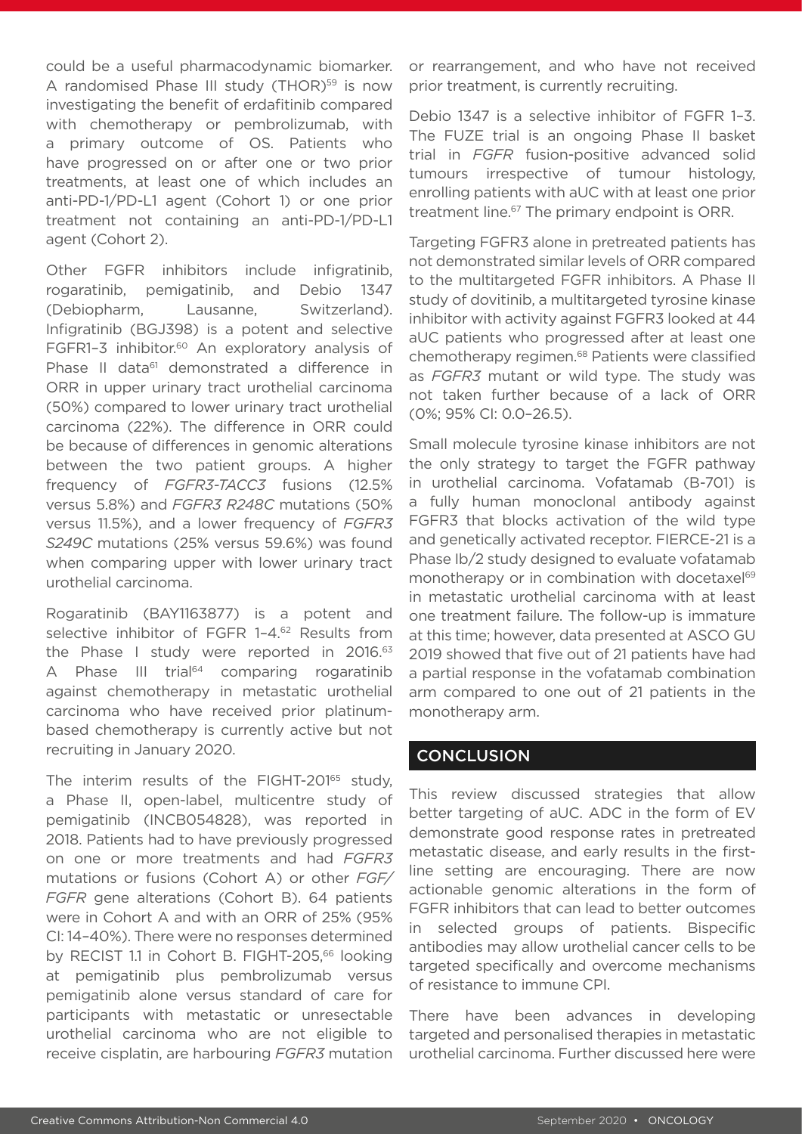could be a useful pharmacodynamic biomarker. A randomised Phase III study (THOR)<sup>59</sup> is now investigating the benefit of erdafitinib compared with chemotherapy or pembrolizumab, with a primary outcome of OS. Patients who have progressed on or after one or two prior treatments, at least one of which includes an anti-PD-1/PD-L1 agent (Cohort 1) or one prior treatment not containing an anti-PD-1/PD-L1 agent (Cohort 2).

Other FGFR inhibitors include infigratinib, rogaratinib, pemigatinib, and Debio 1347 (Debiopharm, Lausanne, Switzerland). Infigratinib (BGJ398) is a potent and selective FGFR1-3 inhibitor.<sup>60</sup> An exploratory analysis of Phase II data<sup>61</sup> demonstrated a difference in ORR in upper urinary tract urothelial carcinoma (50%) compared to lower urinary tract urothelial carcinoma (22%). The difference in ORR could be because of differences in genomic alterations between the two patient groups. A higher frequency of *FGFR3-TACC3* fusions (12.5% versus 5.8%) and *FGFR3 R248C* mutations (50% versus 11.5%), and a lower frequency of *FGFR3 S249C* mutations (25% versus 59.6%) was found when comparing upper with lower urinary tract urothelial carcinoma.

Rogaratinib (BAY1163877) is a potent and selective inhibitor of FGFR 1-4.<sup>62</sup> Results from the Phase I study were reported in 2016.<sup>63</sup> A Phase III trial<sup>64</sup> comparing rogaratinib against chemotherapy in metastatic urothelial carcinoma who have received prior platinumbased chemotherapy is currently active but not recruiting in January 2020.

The interim results of the FIGHT-201<sup>65</sup> study. a Phase II, open-label, multicentre study of pemigatinib (INCB054828), was reported in 2018. Patients had to have previously progressed on one or more treatments and had *FGFR3* mutations or fusions (Cohort A) or other *FGF/ FGFR* gene alterations (Cohort B). 64 patients were in Cohort A and with an ORR of 25% (95% CI: 14–40%). There were no responses determined by RECIST 1.1 in Cohort B. FIGHT-205,<sup>66</sup> looking at pemigatinib plus pembrolizumab versus pemigatinib alone versus standard of care for participants with metastatic or unresectable urothelial carcinoma who are not eligible to receive cisplatin, are harbouring *FGFR3* mutation

or rearrangement, and who have not received prior treatment, is currently recruiting.

Debio 1347 is a selective inhibitor of FGFR 1–3. The FUZE trial is an ongoing Phase II basket trial in *FGFR* fusion-positive advanced solid tumours irrespective of tumour histology, enrolling patients with aUC with at least one prior treatment line.<sup>67</sup> The primary endpoint is ORR.

Targeting FGFR3 alone in pretreated patients has not demonstrated similar levels of ORR compared to the multitargeted FGFR inhibitors. A Phase II study of dovitinib, a multitargeted tyrosine kinase inhibitor with activity against FGFR3 looked at 44 aUC patients who progressed after at least one chemotherapy regimen.<sup>68</sup> Patients were classified as *FGFR3* mutant or wild type. The study was not taken further because of a lack of ORR (0%; 95% CI: 0.0–26.5).

Small molecule tyrosine kinase inhibitors are not the only strategy to target the FGFR pathway in urothelial carcinoma. Vofatamab (B-701) is a fully human monoclonal antibody against FGFR3 that blocks activation of the wild type and genetically activated receptor. FIERCE-21 is a Phase Ib/2 study designed to evaluate vofatamab monotherapy or in combination with docetaxel<sup>69</sup> in metastatic urothelial carcinoma with at least one treatment failure. The follow-up is immature at this time; however, data presented at ASCO GU 2019 showed that five out of 21 patients have had a partial response in the vofatamab combination arm compared to one out of 21 patients in the monotherapy arm.

#### **CONCLUSION**

This review discussed strategies that allow better targeting of aUC. ADC in the form of EV demonstrate good response rates in pretreated metastatic disease, and early results in the firstline setting are encouraging. There are now actionable genomic alterations in the form of FGFR inhibitors that can lead to better outcomes in selected groups of patients. Bispecific antibodies may allow urothelial cancer cells to be targeted specifically and overcome mechanisms of resistance to immune CPI.

There have been advances in developing targeted and personalised therapies in metastatic urothelial carcinoma. Further discussed here were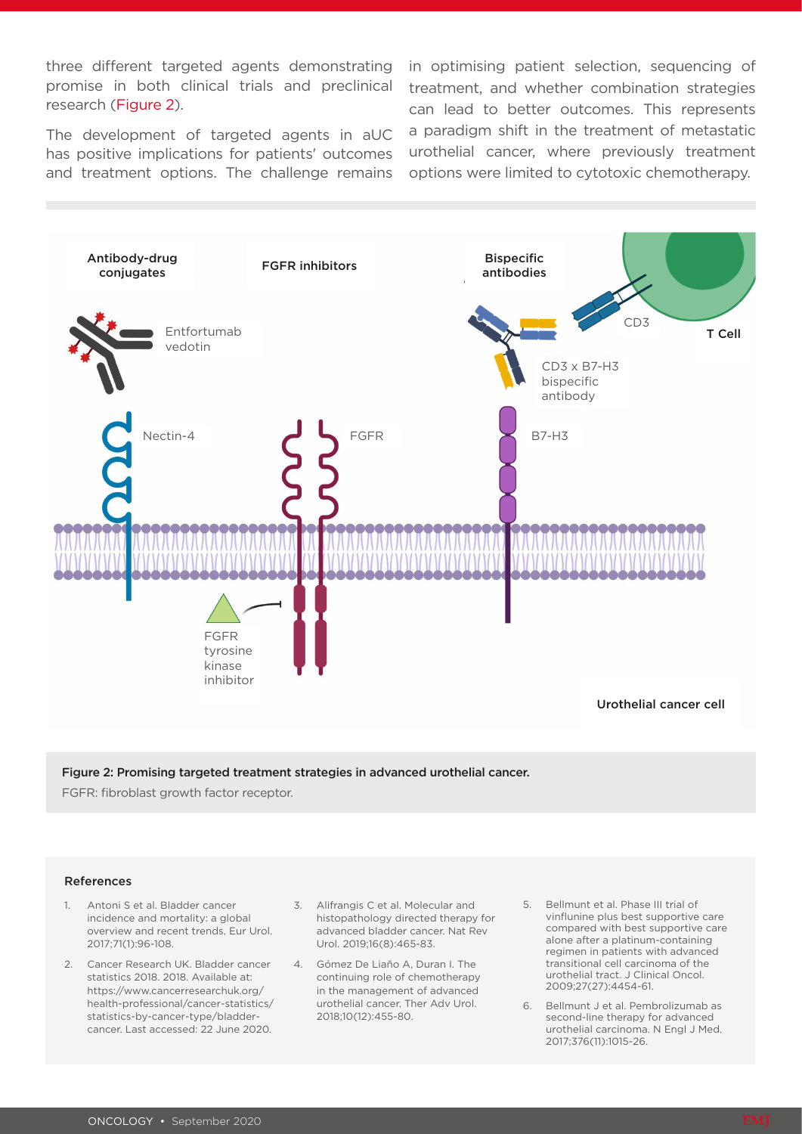three different targeted agents demonstrating promise in both clinical trials and preclinical research (Figure 2).

The development of targeted agents in aUC has positive implications for patients' outcomes and treatment options. The challenge remains

in optimising patient selection, sequencing of treatment, and whether combination strategies can lead to better outcomes. This represents a paradigm shift in the treatment of metastatic urothelial cancer, where previously treatment options were limited to cytotoxic chemotherapy.



Figure 2: Promising targeted treatment strategies in advanced urothelial cancer.

FGFR: fibroblast growth factor receptor.

#### References

- 1. Antoni S et al. Bladder cancer incidence and mortality: a global overview and recent trends. Eur Urol. 2017;71(1):96-108.
- 2. Cancer Research UK. Bladder cancer statistics 2018. 2018. Available at: https://www.cancerresearchuk.org/ health-professional/cancer-statistics/ statistics-by-cancer-type/bladdercancer. Last accessed: 22 June 2020.
- 3. Alifrangis C et al. Molecular and histopathology directed therapy for advanced bladder cancer. Nat Rev Urol. 2019;16(8):465-83.
- 4. Gómez De Liaño A, Duran I. The continuing role of chemotherapy in the management of advanced urothelial cancer. Ther Adv Urol. 2018;10(12):455-80.
- 5. Bellmunt et al. Phase III trial of vinflunine plus best supportive care compared with best supportive care alone after a platinum-containing regimen in patients with advanced transitional cell carcinoma of the urothelial tract. J Clinical Oncol. 2009;27(27):4454-61.
- 6. Bellmunt J et al. Pembrolizumab as second-line therapy for advanced urothelial carcinoma. N Engl J Med. 2017;376(11):1015-26.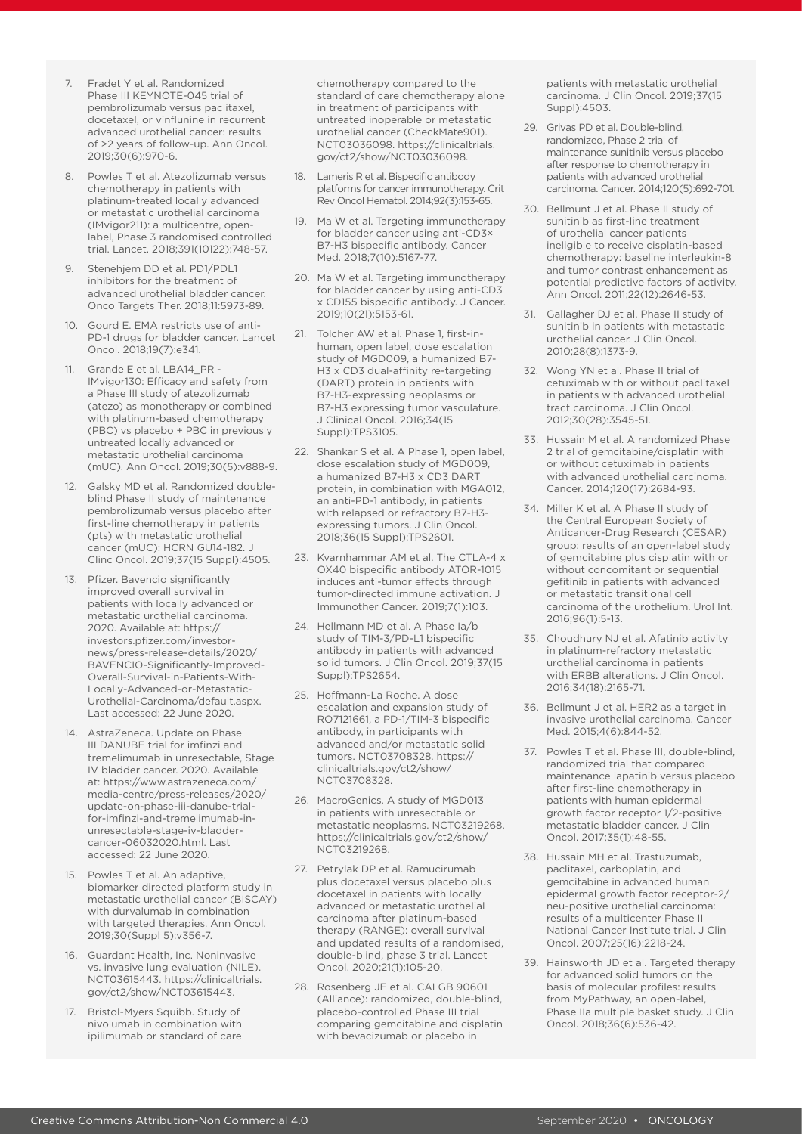- 7. Fradet Y et al. Randomized Phase III KEYNOTE-045 trial of pembrolizumab versus paclitaxel, docetaxel, or vinflunine in recurrent advanced urothelial cancer: results of >2 years of follow-up. Ann Oncol. 2019;30(6):970-6.
- 8. Powles T et al. Atezolizumab versus chemotherapy in patients with platinum-treated locally advanced or metastatic urothelial carcinoma (IMvigor211): a multicentre, openlabel, Phase 3 randomised controlled trial. Lancet. 2018;391(10122):748-57.
- Stenehjem DD et al. PD1/PDL1 inhibitors for the treatment of advanced urothelial bladder cancer. Onco Targets Ther. 2018;11:5973-89.
- 10. Gourd E. EMA restricts use of anti-PD-1 drugs for bladder cancer. Lancet Oncol. 2018;19(7):e341.
- Grande E et al. LBA14\_PR -IMvigor130: Efficacy and safety from a Phase III study of atezolizumab (atezo) as monotherapy or combined with platinum-based chemotherapy (PBC) vs placebo + PBC in previously untreated locally advanced or metastatic urothelial carcinoma (mUC). Ann Oncol. 2019;30(5):v888-9.
- 12. Galsky MD et al. Randomized doubleblind Phase II study of maintenance pembrolizumab versus placebo after first-line chemotherapy in patients (pts) with metastatic urothelial cancer (mUC): HCRN GU14-182. J Clinc Oncol. 2019;37(15 Suppl):4505.
- 13. Pfizer. Bavencio significantly improved overall survival in patients with locally advanced or metastatic urothelial carcinoma. 2020. Available at: https:// investors.pfizer.com/investornews/press-release-details/2020/ BAVENCIO-Significantly-Improved-Overall-Survival-in-Patients-With-Locally-Advanced-or-Metastatic-Urothelial-Carcinoma/default.aspx. Last accessed: 22 June 2020.
- 14. AstraZeneca. Update on Phase III DANUBE trial for imfinzi and tremelimumab in unresectable, Stage IV bladder cancer. 2020. Available at: https://www.astrazeneca.com/ media-centre/press-releases/2020/ update-on-phase-iii-danube-trialfor-imfinzi-and-tremelimumab-inunresectable-stage-iv-bladdercancer-06032020.html. Last accessed: 22 June 2020.
- 15. Powles T et al. An adaptive, biomarker directed platform study in metastatic urothelial cancer (BISCAY) with durvalumab in combination with targeted therapies. Ann Oncol. 2019;30(Suppl 5):v356-7.
- 16. Guardant Health, Inc. Noninvasive vs. invasive lung evaluation (NILE). NCT03615443. https://clinicaltrials. gov/ct2/show/NCT03615443.
- 17. Bristol-Myers Squibb. Study of nivolumab in combination with ipilimumab or standard of care

chemotherapy compared to the standard of care chemotherapy alone in treatment of participants with untreated inoperable or metastatic urothelial cancer (CheckMate901). NCT03036098. https://clinicaltrials. gov/ct2/show/NCT03036098.

- 18. Lameris R et al. Bispecific antibody platforms for cancer immunotherapy. Crit .<br>Rev Oncol Hematol. 2014;92(3):153-65.
- 19. Ma W et al. Targeting immunotherapy for bladder cancer using anti-CD3× B7-H3 bispecific antibody. Cancer Med. 2018;7(10):5167-77.
- 20. Ma W et al. Targeting immunotherapy for bladder cancer by using anti-CD3 x CD155 bispecific antibody. J Cancer. 2019;10(21):5153-61.
- 21. Tolcher AW et al. Phase 1, first-inhuman, open label, dose escalation study of MGD009, a humanized B7- H3 x CD3 dual-affinity re-targeting (DART) protein in patients with B7-H3-expressing neoplasms or B7-H3 expressing tumor vasculature. J Clinical Oncol. 2016;34(15 Suppl):TPS3105.
- 22. Shankar S et al. A Phase 1, open label, dose escalation study of MGD009, a humanized B7-H3 x CD3 DART protein, in combination with MGA012, an anti-PD-1 antibody, in patients with relapsed or refractory B7-H3 expressing tumors. J Clin Oncol. 2018;36(15 Suppl):TPS2601.
- 23. Kvarnhammar AM et al. The CTLA-4 x OX40 bispecific antibody ATOR-1015 induces anti-tumor effects through tumor-directed immune activation. J Immunother Cancer. 2019;7(1):103.
- 24. Hellmann MD et al. A Phase Ia/b study of TIM-3/PD-L1 bispecific antibody in patients with advanced solid tumors. J Clin Oncol. 2019;37(15 Suppl):TPS2654.
- 25. Hoffmann-La Roche. A dose escalation and expansion study of RO7121661, a PD-1/TIM-3 bispecific antibody, in participants with advanced and/or metastatic solid tumors. NCT03708328. https:// clinicaltrials.gov/ct2/show/ NCT03708328.
- 26. MacroGenics. A study of MGD013 in patients with unresectable or metastatic neoplasms. NCT03219268. https://clinicaltrials.gov/ct2/show/ NCT03219268.
- 27. Petrylak DP et al. Ramucirumab plus docetaxel versus placebo plus docetaxel in patients with locally advanced or metastatic urothelial carcinoma after platinum-based therapy (RANGE): overall survival and updated results of a randomised, double-blind, phase 3 trial. Lancet Oncol. 2020;21(1):105-20.
- 28. Rosenberg JE et al. CALGB 90601 (Alliance): randomized, double-blind, placebo-controlled Phase III trial comparing gemcitabine and cisplatin with bevacizumab or placebo in

patients with metastatic urothelial carcinoma. J Clin Oncol. 2019;37(15 Suppl):4503.

- 29. Grivas PD et al. Double-blind, randomized, Phase 2 trial of maintenance sunitinib versus placebo after response to chemotherapy in patients with advanced urothelial carcinoma. Cancer. 2014;120(5):692-701.
- 30. Bellmunt J et al. Phase II study of sunitinib as first-line treatment of urothelial cancer patients ineligible to receive cisplatin-based chemotherapy: baseline interleukin-8 and tumor contrast enhancement as potential predictive factors of activity. Ann Oncol. 2011;22(12):2646-53.
- 31. Gallagher DJ et al. Phase II study of sunitinib in patients with metastatic urothelial cancer. J Clin Oncol. 2010;28(8):1373-9.
- 32. Wong YN et al. Phase II trial of cetuximab with or without paclitaxel in patients with advanced urothelial tract carcinoma. J Clin Oncol. 2012;30(28):3545-51.
- 33. Hussain M et al. A randomized Phase 2 trial of gemcitabine/cisplatin with or without cetuximab in patients with advanced urothelial carcinoma. Cancer. 2014;120(17):2684-93.
- 34. Miller K et al. A Phase II study of the Central European Society of Anticancer-Drug Research (CESAR) group: results of an open-label study of gemcitabine plus cisplatin with or without concomitant or sequential gefitinib in patients with advanced or metastatic transitional cell carcinoma of the urothelium. Urol Int. 2016;96(1):5-13.
- 35. Choudhury NJ et al. Afatinib activity in platinum-refractory metastatic urothelial carcinoma in patients with ERBB alterations. J Clin Oncol. 2016;34(18):2165-71.
- 36. Bellmunt J et al. HER2 as a target in invasive urothelial carcinoma. Cancer Med. 2015;4(6):844-52.
- 37. Powles T et al. Phase III, double-blind, randomized trial that compared maintenance lapatinib versus placebo after first-line chemotherapy in patients with human epidermal growth factor receptor 1/2-positive metastatic bladder cancer. J Clin Oncol. 2017;35(1):48-55.
- 38. Hussain MH et al. Trastuzumab, paclitaxel, carboplatin, and gemcitabine in advanced human epidermal growth factor receptor-2/ neu-positive urothelial carcinoma: results of a multicenter Phase II National Cancer Institute trial. J Clin Oncol. 2007;25(16):2218-24.
- 39. Hainsworth JD et al. Targeted therapy for advanced solid tumors on the basis of molecular profiles: results from MyPathway, an open-label, Phase IIa multiple basket study. J Clin Oncol. 2018;36(6):536-42.